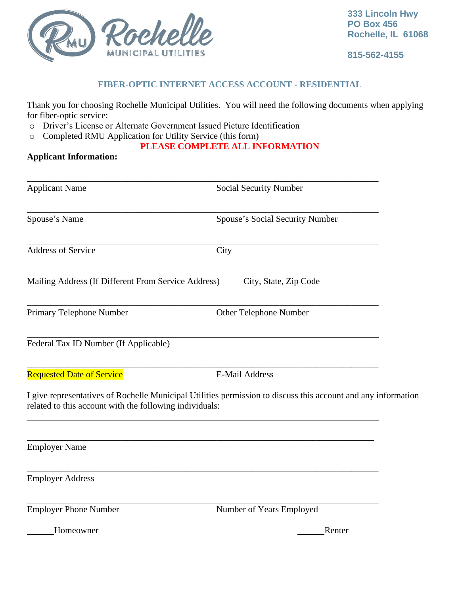

**815-562-4155**

### **FIBER-OPTIC INTERNET ACCESS ACCOUNT - RESIDENTIAL**

Thank you for choosing Rochelle Municipal Utilities. You will need the following documents when applying for fiber-optic service:

- o Driver's License or Alternate Government Issued Picture Identification
- o Completed RMU Application for Utility Service (this form)

# **PLEASE COMPLETE ALL INFORMATION**

# **Applicant Information:**

| <b>Applicant Name</b><br>Social Security Number         |                                                                                                               |  |
|---------------------------------------------------------|---------------------------------------------------------------------------------------------------------------|--|
| Spouse's Name                                           | Spouse's Social Security Number                                                                               |  |
| <b>Address of Service</b>                               | City                                                                                                          |  |
| Mailing Address (If Different From Service Address)     | City, State, Zip Code                                                                                         |  |
| Primary Telephone Number                                | Other Telephone Number                                                                                        |  |
| Federal Tax ID Number (If Applicable)                   |                                                                                                               |  |
| <b>Requested Date of Service</b>                        | <b>E-Mail Address</b>                                                                                         |  |
| related to this account with the following individuals: | I give representatives of Rochelle Municipal Utilities permission to discuss this account and any information |  |
| <b>Employer Name</b>                                    |                                                                                                               |  |
| <b>Employer Address</b>                                 |                                                                                                               |  |
| <b>Employer Phone Number</b>                            | Number of Years Employed                                                                                      |  |
| Homeowner                                               | Renter                                                                                                        |  |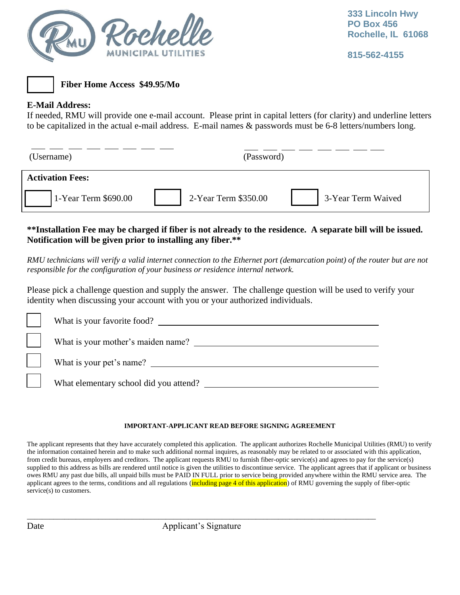

**815-562-4155**



**Fiber Home Access \$49.95/Mo**

## **E-Mail Address:**

If needed, RMU will provide one e-mail account. Please print in capital letters (for clarity) and underline letters to be capitalized in the actual e-mail address. E-mail names & passwords must be 6-8 letters/numbers long.

(Username) (Password)

# **Activation Fees:**

| 2-Year Term \$350.0 |
|---------------------|
|                     |

00 3-Year Term Waived

## **\*\*Installation Fee may be charged if fiber is not already to the residence. A separate bill will be issued. Notification will be given prior to installing any fiber.\*\***

*RMU technicians will verify a valid internet connection to the Ethernet port (demarcation point) of the router but are not responsible for the configuration of your business or residence internal network.*

Please pick a challenge question and supply the answer. The challenge question will be used to verify your identity when discussing your account with you or your authorized individuals.

| What is your favorite food?            |
|----------------------------------------|
| What is your mother's maiden name?     |
| What is your pet's name?               |
| What elementary school did you attend? |

### **IMPORTANT-APPLICANT READ BEFORE SIGNING AGREEMENT**

The applicant represents that they have accurately completed this application. The applicant authorizes Rochelle Municipal Utilities (RMU) to verify the information contained herein and to make such additional normal inquires, as reasonably may be related to or associated with this application, from credit bureaus, employers and creditors. The applicant requests RMU to furnish fiber-optic service(s) and agrees to pay for the service(s) supplied to this address as bills are rendered until notice is given the utilities to discontinue service. The applicant agrees that if applicant or business owes RMU any past due bills, all unpaid bills must be PAID IN FULL prior to service being provided anywhere within the RMU service area. The applicant agrees to the terms, conditions and all regulations (including page 4 of this application) of RMU governing the supply of fiber-optic service(s) to customers.

\_\_\_\_\_\_\_\_\_\_\_\_\_\_\_\_\_\_\_\_\_\_\_\_\_\_\_\_\_\_\_\_\_\_\_\_\_\_\_\_\_\_\_\_\_\_\_\_\_\_\_\_\_\_\_\_\_\_\_\_\_\_\_\_\_\_\_\_\_\_\_\_\_\_\_\_\_\_\_\_\_\_\_\_\_\_\_\_\_\_\_\_\_ Date Applicant's Signature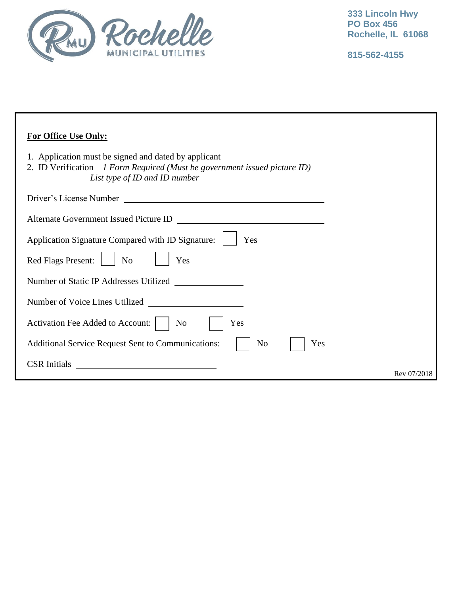

**815-562-4155**

| <b>For Office Use Only:</b>                                                                                                                                           |             |
|-----------------------------------------------------------------------------------------------------------------------------------------------------------------------|-------------|
| 1. Application must be signed and dated by applicant<br>2. ID Verification $-1$ Form Required (Must be government issued picture ID)<br>List type of ID and ID number |             |
|                                                                                                                                                                       |             |
| Alternate Government Issued Picture ID<br><u> 1980 - Jan Stein Stein Stein Stein Stein Stein Stein Stein Stein Stein Stein Stein Stein Stein Stein Stein S</u>        |             |
| Application Signature Compared with ID Signature:<br>Yes                                                                                                              |             |
| Red Flags Present:<br>N <sub>o</sub><br>Yes                                                                                                                           |             |
| Number of Static IP Addresses Utilized                                                                                                                                |             |
| Number of Voice Lines Utilized                                                                                                                                        |             |
| Activation Fee Added to Account:<br>No<br>Yes                                                                                                                         |             |
| <b>Additional Service Request Sent to Communications:</b><br>No<br>Yes                                                                                                |             |
| <b>CSR</b> Initials                                                                                                                                                   | Rev 07/2018 |